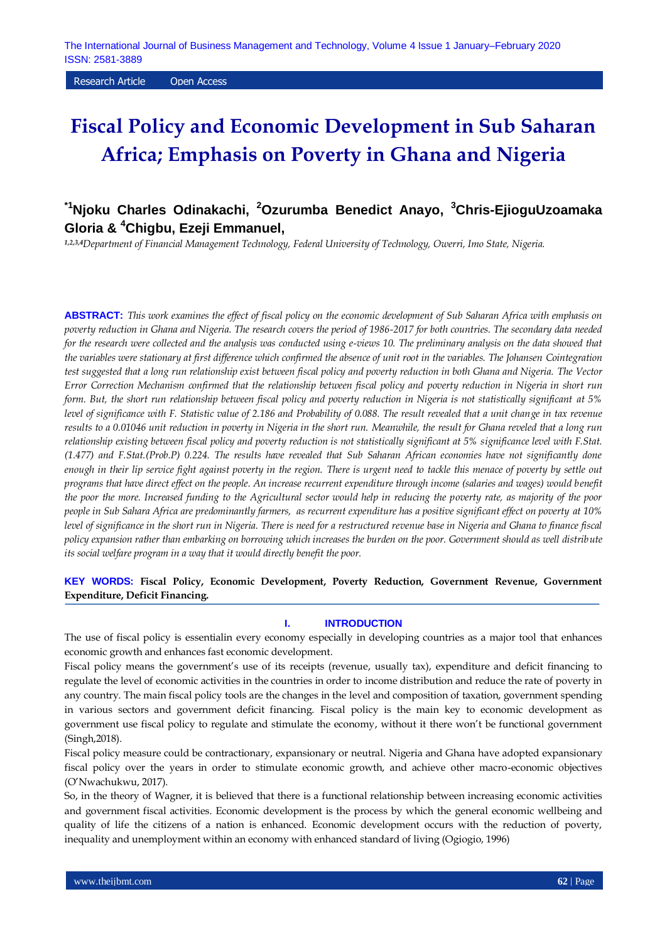Research Article Open Access

# **Fiscal Policy and Economic Development in Sub Saharan Africa; Emphasis on Poverty in Ghana and Nigeria**

## **\*1Njoku Charles Odinakachi, <sup>2</sup>Ozurumba Benedict Anayo, <sup>3</sup>Chris-EjioguUzoamaka Gloria & <sup>4</sup>Chigbu, Ezeji Emmanuel,**

*1,2,3,4Department of Financial Management Technology, Federal University of Technology, Owerri, Imo State, Nigeria.*

**ABSTRACT:** *This work examines the effect of fiscal policy on the economic development of Sub Saharan Africa with emphasis on poverty reduction in Ghana and Nigeria. The research covers the period of 1986-2017 for both countries. The secondary data needed for the research were collected and the analysis was conducted using e-views 10. The preliminary analysis on the data showed that the variables were stationary at first difference which confirmed the absence of unit root in the variables. The Johansen Cointegration test suggested that a long run relationship exist between fiscal policy and poverty reduction in both Ghana and Nigeria. The Vector Error Correction Mechanism confirmed that the relationship between fiscal policy and poverty reduction in Nigeria in short run form. But, the short run relationship between fiscal policy and poverty reduction in Nigeria is not statistically significant at 5% level of significance with F. Statistic value of 2.186 and Probability of 0.088. The result revealed that a unit change in tax revenue results to a 0.01046 unit reduction in poverty in Nigeria in the short run. Meanwhile, the result for Ghana reveled that a long run relationship existing between fiscal policy and poverty reduction is not statistically significant at 5% significance level with F.Stat. (1.477) and F.Stat.(Prob.P) 0.224. The results have revealed that Sub Saharan African economies have not significantly done enough in their lip service fight against poverty in the region. There is urgent need to tackle this menace of poverty by settle out programs that have direct effect on the people. An increase recurrent expenditure through income (salaries and wages) would benefit the poor the more. Increased funding to the Agricultural sector would help in reducing the poverty rate, as majority of the poor people in Sub Sahara Africa are predominantly farmers, as recurrent expenditure has a positive significant effect on poverty at 10% level of significance in the short run in Nigeria. There is need for a restructured revenue base in Nigeria and Ghana to finance fiscal policy expansion rather than embarking on borrowing which increases the burden on the poor. Government should as well distribute its social welfare program in a way that it would directly benefit the poor.*

## **KEY WORDS: Fiscal Policy, Economic Development, Poverty Reduction, Government Revenue, Government Expenditure, Deficit Financing.**

#### **I. INTRODUCTION**

The use of fiscal policy is essentialin every economy especially in developing countries as a major tool that enhances economic growth and enhances fast economic development.

Fiscal policy means the government's use of its receipts (revenue, usually tax), expenditure and deficit financing to regulate the level of economic activities in the countries in order to income distribution and reduce the rate of poverty in any country. The main fiscal policy tools are the changes in the level and composition of taxation, government spending in various sectors and government deficit financing. Fiscal policy is the main key to economic development as government use fiscal policy to regulate and stimulate the economy, without it there won't be functional government (Singh,2018).

Fiscal policy measure could be contractionary, expansionary or neutral. Nigeria and Ghana have adopted expansionary fiscal policy over the years in order to stimulate economic growth, and achieve other macro-economic objectives (O'Nwachukwu, 2017).

So, in the theory of Wagner, it is believed that there is a functional relationship between increasing economic activities and government fiscal activities. Economic development is the process by which the general economic wellbeing and quality of life the citizens of a nation is enhanced. Economic development occurs with the reduction of poverty, inequality and unemployment within an economy with enhanced standard of living (Ogiogio, 1996)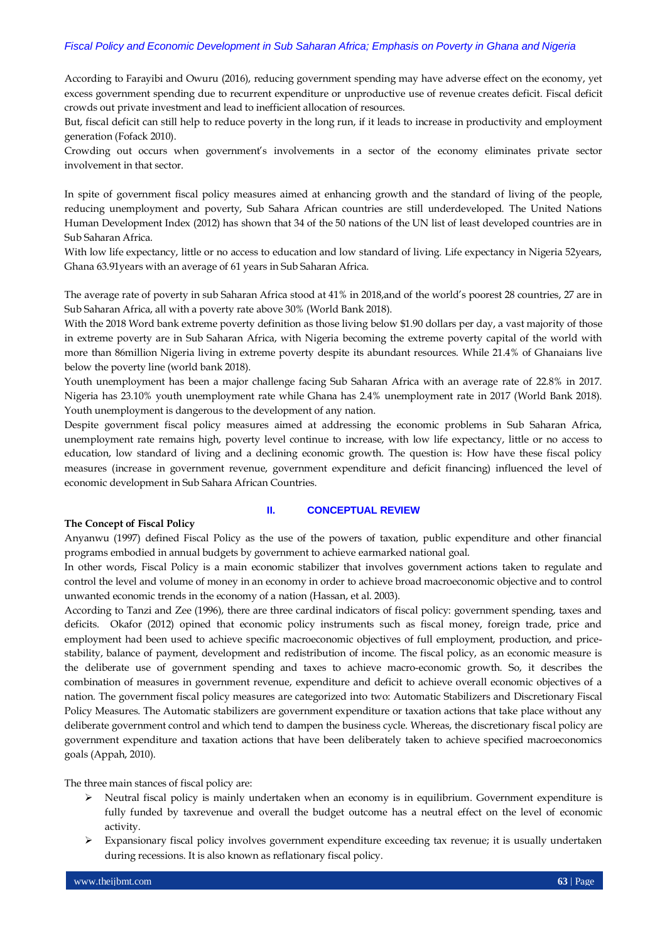According to Farayibi and Owuru (2016), reducing government spending may have adverse effect on the economy, yet excess government spending due to recurrent expenditure or unproductive use of revenue creates deficit. Fiscal deficit crowds out private investment and lead to inefficient allocation of resources.

But, fiscal deficit can still help to reduce poverty in the long run, if it leads to increase in productivity and employment generation (Fofack 2010).

Crowding out occurs when government's involvements in a sector of the economy eliminates private sector involvement in that sector.

In spite of government fiscal policy measures aimed at enhancing growth and the standard of living of the people, reducing unemployment and poverty, Sub Sahara African countries are still underdeveloped. The United Nations Human Development Index (2012) has shown that 34 of the 50 nations of the UN list of least developed countries are in Sub Saharan Africa.

With low life expectancy, little or no access to education and low standard of living. Life expectancy in Nigeria 52years, Ghana 63.91years with an average of 61 years in Sub Saharan Africa.

The average rate of poverty in sub Saharan Africa stood at 41% in 2018,and of the world's poorest 28 countries, 27 are in Sub Saharan Africa, all with a poverty rate above 30% (World Bank 2018).

With the 2018 Word bank extreme poverty definition as those living below \$1.90 dollars per day, a vast majority of those in extreme poverty are in Sub Saharan Africa, with Nigeria becoming the extreme poverty capital of the world with more than 86million Nigeria living in extreme poverty despite its abundant resources. While 21.4% of Ghanaians live below the poverty line (world bank 2018).

Youth unemployment has been a major challenge facing Sub Saharan Africa with an average rate of 22.8% in 2017. Nigeria has 23.10% youth unemployment rate while Ghana has 2.4% unemployment rate in 2017 (World Bank 2018). Youth unemployment is dangerous to the development of any nation.

Despite government fiscal policy measures aimed at addressing the economic problems in Sub Saharan Africa, unemployment rate remains high, poverty level continue to increase, with low life expectancy, little or no access to education, low standard of living and a declining economic growth. The question is: How have these fiscal policy measures (increase in government revenue, government expenditure and deficit financing) influenced the level of economic development in Sub Sahara African Countries.

## **II. CONCEPTUAL REVIEW**

#### **The Concept of Fiscal Policy**

Anyanwu (1997) defined Fiscal Policy as the use of the powers of taxation, public expenditure and other financial programs embodied in annual budgets by government to achieve earmarked national goal.

In other words, Fiscal Policy is a main economic stabilizer that involves government actions taken to regulate and control the level and volume of money in an economy in order to achieve broad macroeconomic objective and to control unwanted economic trends in the economy of a nation (Hassan, et al. 2003).

According to Tanzi and Zee (1996), there are three cardinal indicators of fiscal policy: government spending, taxes and deficits. Okafor (2012) opined that economic policy instruments such as fiscal money, foreign trade, price and employment had been used to achieve specific macroeconomic objectives of full employment, production, and pricestability, balance of payment, development and redistribution of income. The fiscal policy, as an economic measure is the deliberate use of government spending and taxes to achieve macro-economic growth. So, it describes the combination of measures in government revenue, expenditure and deficit to achieve overall economic objectives of a nation. The government fiscal policy measures are categorized into two: Automatic Stabilizers and Discretionary Fiscal Policy Measures. The Automatic stabilizers are government expenditure or taxation actions that take place without any deliberate government control and which tend to dampen the business cycle. Whereas, the discretionary fiscal policy are government expenditure and taxation actions that have been deliberately taken to achieve specified macroeconomics goals (Appah, 2010).

The three main stances of fiscal policy are:

- Neutral fiscal policy is mainly undertaken when an economy is in equilibrium. [Government expenditure](https://en.wikipedia.org/wiki/Government_spending) is fully funded by [taxrevenue](https://en.wikipedia.org/wiki/Tax) and overall the budget outcome has a neutral effect on the level of [economic](https://en.wikipedia.org/wiki/Economic_activity)  [activity.](https://en.wikipedia.org/wiki/Economic_activity)
- $\triangleright$  Expansionary fiscal policy involves government expenditure exceeding tax revenue; it is usually undertaken during recessions. It is also known as reflationary fiscal policy.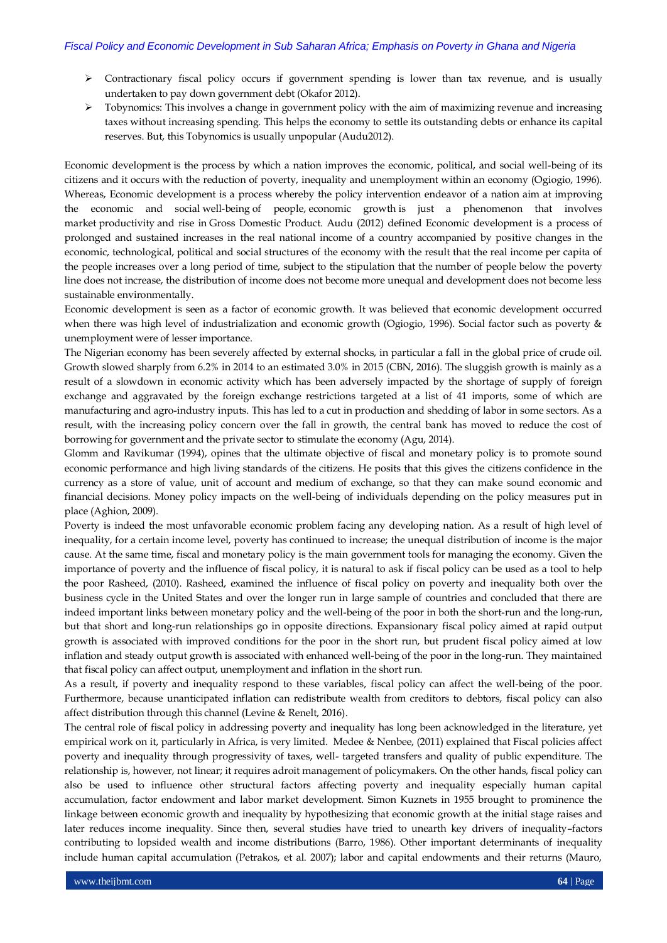- Contractionary fiscal policy occurs if government spending is lower than tax revenue, and is usually undertaken to pay down government debt (Okafor 2012).
- $\triangleright$  Tobynomics: This involves a change in government policy with the aim of maximizing revenue and increasing taxes without increasing spending. This helps the economy to settle its outstanding debts or enhance its capital reserves. But, this Tobynomics is usually unpopular (Audu2012).

Economic development is the process by which a nation improves the economic, political, and social well-being of its citizens and it occurs with the reduction of poverty, inequality and unemployment within an economy (Ogiogio, 1996). Whereas, Economic development is a process whereby the policy intervention endeavor of a nation aim at improving the economic and social [well-being](https://en.wikipedia.org/wiki/Well-being) of people, [economic growth](https://en.wikipedia.org/wiki/Economic_growth) is just a phenomenon that involves market [productivity](https://en.wikipedia.org/wiki/Productivity) and rise in [Gross Domestic Pr](https://en.wikipedia.org/wiki/GDP)oduct. Audu (2012) defined Economic development is a process of prolonged and sustained increases in the real national income of a country accompanied by positive changes in the economic, technological, political and social structures of the economy with the result that the real income per capita of the people increases over a long period of time, subject to the stipulation that the number of people below the poverty line does not increase, the distribution of income does not become more unequal and development does not become less sustainable environmentally.

Economic development is seen as a factor of economic growth. It was believed that economic development occurred when there was high level of industrialization and economic growth (Ogiogio, 1996). Social factor such as poverty & unemployment were of lesser importance.

The Nigerian economy has been severely affected by external shocks, in particular a fall in the global price of crude oil. Growth slowed sharply from 6.2% in 2014 to an estimated 3.0% in 2015 (CBN, 2016). The sluggish growth is mainly as a result of a slowdown in economic activity which has been adversely impacted by the shortage of supply of foreign exchange and aggravated by the foreign exchange restrictions targeted at a list of 41 imports, some of which are manufacturing and agro-industry inputs. This has led to a cut in production and shedding of labor in some sectors. As a result, with the increasing policy concern over the fall in growth, the central bank has moved to reduce the cost of borrowing for government and the private sector to stimulate the economy (Agu, 2014).

Glomm and Ravikumar (1994), opines that the ultimate objective of fiscal and monetary policy is to promote sound economic performance and high living standards of the citizens. He posits that this gives the citizens confidence in the currency as a store of value, unit of account and medium of exchange, so that they can make sound economic and financial decisions. Money policy impacts on the well-being of individuals depending on the policy measures put in place (Aghion, 2009).

Poverty is indeed the most unfavorable economic problem facing any developing nation. As a result of high level of inequality, for a certain income level, poverty has continued to increase; the unequal distribution of income is the major cause. At the same time, fiscal and monetary policy is the main government tools for managing the economy. Given the importance of poverty and the influence of fiscal policy, it is natural to ask if fiscal policy can be used as a tool to help the poor Rasheed, (2010). Rasheed, examined the influence of fiscal policy on poverty and inequality both over the business cycle in the United States and over the longer run in large sample of countries and concluded that there are indeed important links between monetary policy and the well-being of the poor in both the short-run and the long-run, but that short and long-run relationships go in opposite directions. Expansionary fiscal policy aimed at rapid output growth is associated with improved conditions for the poor in the short run, but prudent fiscal policy aimed at low inflation and steady output growth is associated with enhanced well-being of the poor in the long-run. They maintained that fiscal policy can affect output, unemployment and inflation in the short run.

As a result, if poverty and inequality respond to these variables, fiscal policy can affect the well-being of the poor. Furthermore, because unanticipated inflation can redistribute wealth from creditors to debtors, fiscal policy can also affect distribution through this channel (Levine & Renelt, 2016).

The central role of fiscal policy in addressing poverty and inequality has long been acknowledged in the literature, yet empirical work on it, particularly in Africa, is very limited. Medee & Nenbee, (2011) explained that Fiscal policies affect poverty and inequality through progressivity of taxes, well- targeted transfers and quality of public expenditure. The relationship is, however, not linear; it requires adroit management of policymakers. On the other hands, fiscal policy can also be used to influence other structural factors affecting poverty and inequality especially human capital accumulation, factor endowment and labor market development. Simon Kuznets in 1955 brought to prominence the linkage between economic growth and inequality by hypothesizing that economic growth at the initial stage raises and later reduces income inequality. Since then, several studies have tried to unearth key drivers of inequality–factors contributing to lopsided wealth and income distributions (Barro, 1986). Other important determinants of inequality include human capital accumulation (Petrakos, et al. 2007); labor and capital endowments and their returns (Mauro,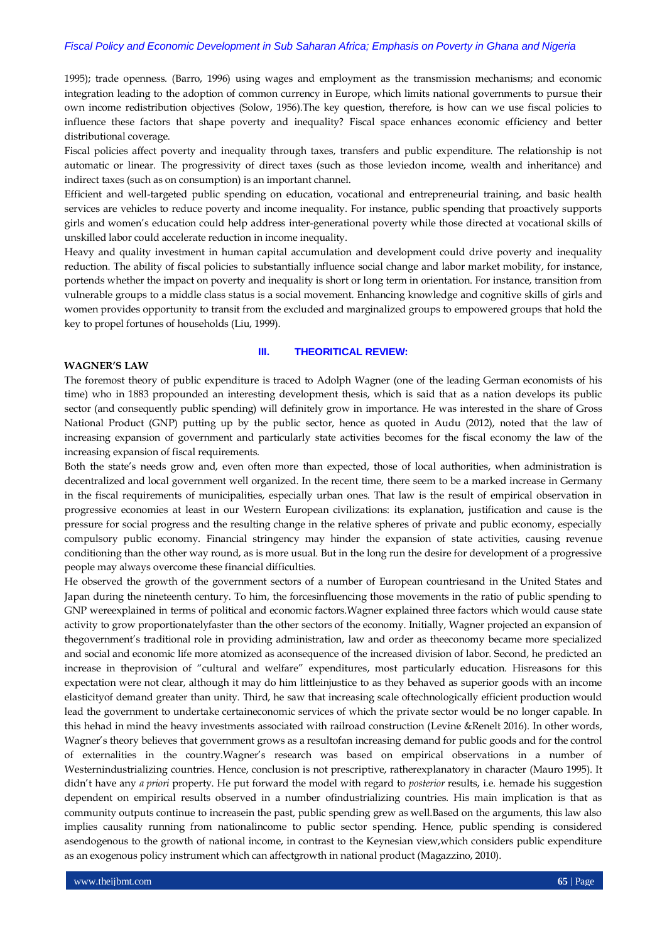1995); trade openness. (Barro, 1996) using wages and employment as the transmission mechanisms; and economic integration leading to the adoption of common currency in Europe, which limits national governments to pursue their own income redistribution objectives (Solow, 1956).The key question, therefore, is how can we use fiscal policies to influence these factors that shape poverty and inequality? Fiscal space enhances economic efficiency and better distributional coverage.

Fiscal policies affect poverty and inequality through taxes, transfers and public expenditure. The relationship is not automatic or linear. The progressivity of direct taxes (such as those leviedon income, wealth and inheritance) and indirect taxes (such as on consumption) is an important channel.

Efficient and well-targeted public spending on education, vocational and entrepreneurial training, and basic health services are vehicles to reduce poverty and income inequality. For instance, public spending that proactively supports girls and women's education could help address inter-generational poverty while those directed at vocational skills of unskilled labor could accelerate reduction in income inequality.

Heavy and quality investment in human capital accumulation and development could drive poverty and inequality reduction. The ability of fiscal policies to substantially influence social change and labor market mobility, for instance, portends whether the impact on poverty and inequality is short or long term in orientation. For instance, transition from vulnerable groups to a middle class status is a social movement. Enhancing knowledge and cognitive skills of girls and women provides opportunity to transit from the excluded and marginalized groups to empowered groups that hold the key to propel fortunes of households (Liu, 1999).

## **WAGNER'S LAW**

#### **III. THEORITICAL REVIEW:**

The foremost theory of public expenditure is traced to Adolph Wagner (one of the leading German economists of his time) who in 1883 propounded an interesting development thesis, which is said that as a nation develops its public sector (and consequently public spending) will definitely grow in importance. He was interested in the share of Gross National Product (GNP) putting up by the public sector, hence as quoted in Audu (2012), noted that the law of increasing expansion of government and particularly state activities becomes for the fiscal economy the law of the increasing expansion of fiscal requirements.

Both the state's needs grow and, even often more than expected, those of local authorities, when administration is decentralized and local government well organized. In the recent time, there seem to be a marked increase in Germany in the fiscal requirements of municipalities, especially urban ones. That law is the result of empirical observation in progressive economies at least in our Western European civilizations: its explanation, justification and cause is the pressure for social progress and the resulting change in the relative spheres of private and public economy, especially compulsory public economy. Financial stringency may hinder the expansion of state activities, causing revenue conditioning than the other way round, as is more usual. But in the long run the desire for development of a progressive people may always overcome these financial difficulties.

He observed the growth of the government sectors of a number of European countriesand in the United States and Japan during the nineteenth century. To him, the forcesinfluencing those movements in the ratio of public spending to GNP wereexplained in terms of political and economic factors.Wagner explained three factors which would cause state activity to grow proportionatelyfaster than the other sectors of the economy. Initially, Wagner projected an expansion of thegovernment's traditional role in providing administration, law and order as theeconomy became more specialized and social and economic life more atomized as aconsequence of the increased division of labor. Second, he predicted an increase in theprovision of "cultural and welfare" expenditures, most particularly education. Hisreasons for this expectation were not clear, although it may do him littleinjustice to as they behaved as superior goods with an income elasticityof demand greater than unity. Third, he saw that increasing scale oftechnologically efficient production would lead the government to undertake certaineconomic services of which the private sector would be no longer capable. In this hehad in mind the heavy investments associated with railroad construction (Levine &Renelt 2016). In other words, Wagner's theory believes that government grows as a resultofan increasing demand for public goods and for the control of externalities in the country.Wagner's research was based on empirical observations in a number of Westernindustrializing countries. Hence, conclusion is not prescriptive, ratherexplanatory in character (Mauro 1995). It didn't have any *a priori* property. He put forward the model with regard to *posterior* results, i.e. hemade his suggestion dependent on empirical results observed in a number ofindustrializing countries. His main implication is that as community outputs continue to increasein the past, public spending grew as well.Based on the arguments, this law also implies causality running from nationalincome to public sector spending. Hence, public spending is considered asendogenous to the growth of national income, in contrast to the Keynesian view,which considers public expenditure as an exogenous policy instrument which can affectgrowth in national product (Magazzino, 2010).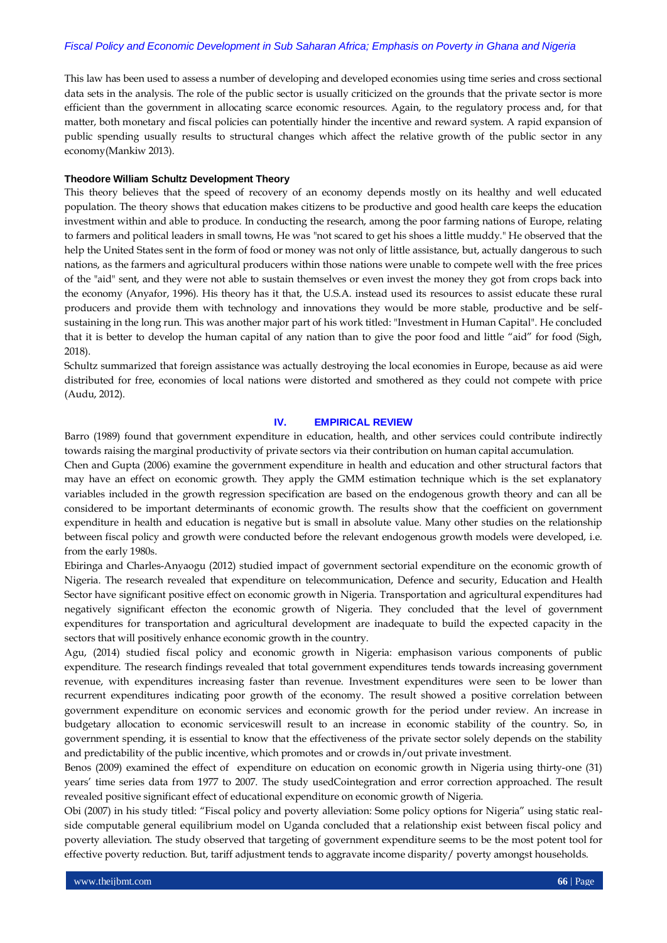This law has been used to assess a number of developing and developed economies using time series and cross sectional data sets in the analysis. The role of the public sector is usually criticized on the grounds that the private sector is more efficient than the government in allocating scarce economic resources. Again, to the regulatory process and, for that matter, both monetary and fiscal policies can potentially hinder the incentive and reward system. A rapid expansion of public spending usually results to structural changes which affect the relative growth of the public sector in any economy(Mankiw 2013).

#### **Theodore William Schultz Development Theory**

This theory believes that the speed of recovery of an economy depends mostly on its healthy and well educated population. The theory shows that education makes citizens to be productive and good health care keeps the education investment within and able to produce. In conducting the research, among the poor farming nations of Europe, relating to farmers and political leaders in small towns, He was "not scared to get his shoes a little muddy." He observed that the help the United States sent in the form of food or money was not only of little assistance, but, actually dangerous to such nations, as the farmers and agricultural producers within those nations were unable to compete well with the free prices of the "aid" sent, and they were not able to sustain themselves or even invest the money they got from crops back into the economy (Anyafor, 1996). His theory has it that, the U.S.A. instead used its resources to assist educate these rural producers and provide them with technology and innovations they would be more stable, productive and be selfsustaining in the long run. This was another major part of his work titled: "Investment in Human Capital". He concluded that it is better to develop the human capital of any nation than to give the poor food and little "aid" for food (Sigh, 2018).

Schultz summarized that foreign assistance was actually destroying the local economies in Europe, because as aid were distributed for free, economies of local nations were distorted and smothered as they could not compete with price (Audu, 2012).

#### **IV. EMPIRICAL REVIEW**

Barro (1989) found that government expenditure in education, health, and other services could contribute indirectly towards raising the marginal productivity of private sectors via their contribution on human capital accumulation.

Chen and Gupta (2006) examine the government expenditure in health and education and other structural factors that may have an effect on economic growth. They apply the GMM estimation technique which is the set explanatory variables included in the growth regression specification are based on the endogenous growth theory and can all be considered to be important determinants of economic growth. The results show that the coefficient on government expenditure in health and education is negative but is small in absolute value. Many other studies on the relationship between fiscal policy and growth were conducted before the relevant endogenous growth models were developed, i.e. from the early 1980s.

Ebiringa and Charles-Anyaogu (2012) studied impact of government sectorial expenditure on the economic growth of Nigeria. The research revealed that expenditure on telecommunication, Defence and security, Education and Health Sector have significant positive effect on economic growth in Nigeria. Transportation and agricultural expenditures had negatively significant effecton the economic growth of Nigeria. They concluded that the level of government expenditures for transportation and agricultural development are inadequate to build the expected capacity in the sectors that will positively enhance economic growth in the country.

Agu, (2014) studied fiscal policy and economic growth in Nigeria: emphasison various components of public expenditure. The research findings revealed that total government expenditures tends towards increasing government revenue, with expenditures increasing faster than revenue. Investment expenditures were seen to be lower than recurrent expenditures indicating poor growth of the economy. The result showed a positive correlation between government expenditure on economic services and economic growth for the period under review. An increase in budgetary allocation to economic serviceswill result to an increase in economic stability of the country. So, in government spending, it is essential to know that the effectiveness of the private sector solely depends on the stability and predictability of the public incentive, which promotes and or crowds in/out private investment.

Benos (2009) examined the effect of expenditure on education on economic growth in Nigeria using thirty-one (31) years' time series data from 1977 to 2007. The study usedCointegration and error correction approached. The result revealed positive significant effect of educational expenditure on economic growth of Nigeria.

Obi (2007) in his study titled: "Fiscal policy and poverty alleviation: Some policy options for Nigeria" using static realside computable general equilibrium model on Uganda concluded that a relationship exist between fiscal policy and poverty alleviation. The study observed that targeting of government expenditure seems to be the most potent tool for effective poverty reduction. But, tariff adjustment tends to aggravate income disparity/ poverty amongst households.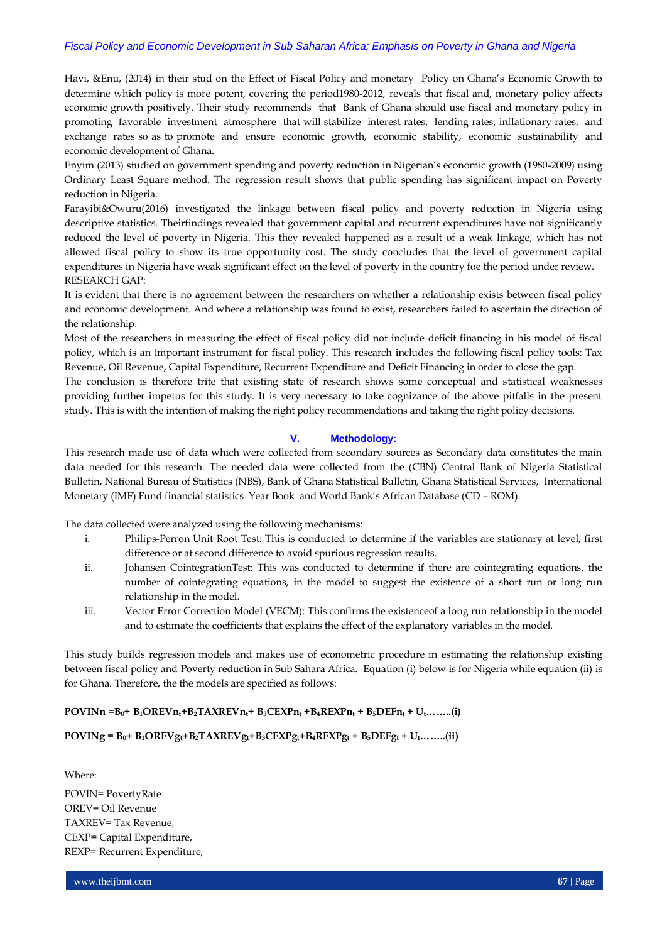Havi, &Enu, (2014) in their stud on the Effect of Fiscal Policy and monetary Policy on Ghana's Economic Growth to determine which policy is more potent, covering the period1980-2012, reveals that fiscal and, monetary policy affects economic growth positively. Their study recommends that Bank of Ghana should use fiscal and monetary policy in promoting favorable investment atmosphere that will stabilize interest rates, lending rates, inflationary rates, and exchange rates so as to promote and ensure economic growth, economic stability, economic sustainability and economic development of Ghana.

Enyim (2013) studied on government spending and poverty reduction in Nigerian's economic growth (1980-2009) using Ordinary Least Square method. The regression result shows that public spending has significant impact on Poverty reduction in Nigeria.

Farayibi&Owuru(2016) investigated the linkage between fiscal policy and poverty reduction in Nigeria using descriptive statistics. Theirfindings revealed that government capital and recurrent expenditures have not significantly reduced the level of poverty in Nigeria. This they revealed happened as a result of a weak linkage, which has not allowed fiscal policy to show its true opportunity cost. The study concludes that the level of government capital expenditures in Nigeria have weak significant effect on the level of poverty in the country foe the period under review. RESEARCH GAP:

It is evident that there is no agreement between the researchers on whether a relationship exists between fiscal policy and economic development. And where a relationship was found to exist, researchers failed to ascertain the direction of the relationship.

Most of the researchers in measuring the effect of fiscal policy did not include deficit financing in his model of fiscal policy, which is an important instrument for fiscal policy. This research includes the following fiscal policy tools: Tax Revenue, Oil Revenue, Capital Expenditure, Recurrent Expenditure and Deficit Financing in order to close the gap.

The conclusion is therefore trite that existing state of research shows some conceptual and statistical weaknesses providing further impetus for this study. It is very necessary to take cognizance of the above pitfalls in the present study. This is with the intention of making the right policy recommendations and taking the right policy decisions.

## **V. Methodology:**

This research made use of data which were collected from secondary sources as Secondary data constitutes the main data needed for this research. The needed data were collected from the (CBN) Central Bank of Nigeria Statistical Bulletin, National Bureau of Statistics (NBS), Bank of Ghana Statistical Bulletin, Ghana Statistical Services, International Monetary (IMF) Fund financial statistics Year Book and World Bank's African Database (CD – ROM).

The data collected were analyzed using the following mechanisms:

- i. Philips-Perron Unit Root Test: This is conducted to determine if the variables are stationary at level, first difference or at second difference to avoid spurious regression results.
- ii. Johansen CointegrationTest: This was conducted to determine if there are cointegrating equations, the number of cointegrating equations, in the model to suggest the existence of a short run or long run relationship in the model.
- iii. Vector Error Correction Model (VECM): This confirms the existenceof a long run relationship in the model and to estimate the coefficients that explains the effect of the explanatory variables in the model.

This study builds regression models and makes use of econometric procedure in estimating the relationship existing between fiscal policy and Poverty reduction in Sub Sahara Africa. Equation (i) below is for Nigeria while equation (ii) is for Ghana. Therefore, the the models are specified as follows:

## $POVINn = B_0 + B_1OREVn_t + B_2TAXREVn_t + B_3CEXPn_t + B_4REXPn_t + B_5DEFn_t + U_t........(i)$

## $\text{POVINg} = \text{B}_0 + \text{B}_1 \text{OREV} \text{g}_\text{t} + \text{B}_2 \text{TAXREV} \text{g}_\text{t} + \text{B}_3 \text{CEXP} \text{g}_\text{t} + \text{B}_4 \text{REXP} \text{g}_\text{t} + \text{B}_5 \text{DEF} \text{g}_\text{t} + \text{U}_\text{t} \dots \dots \dots (ii)$

Where:

POVIN= PovertyRate OREV= Oil Revenue TAXREV= Tax Revenue, CEXP= Capital Expenditure, REXP= Recurrent Expenditure,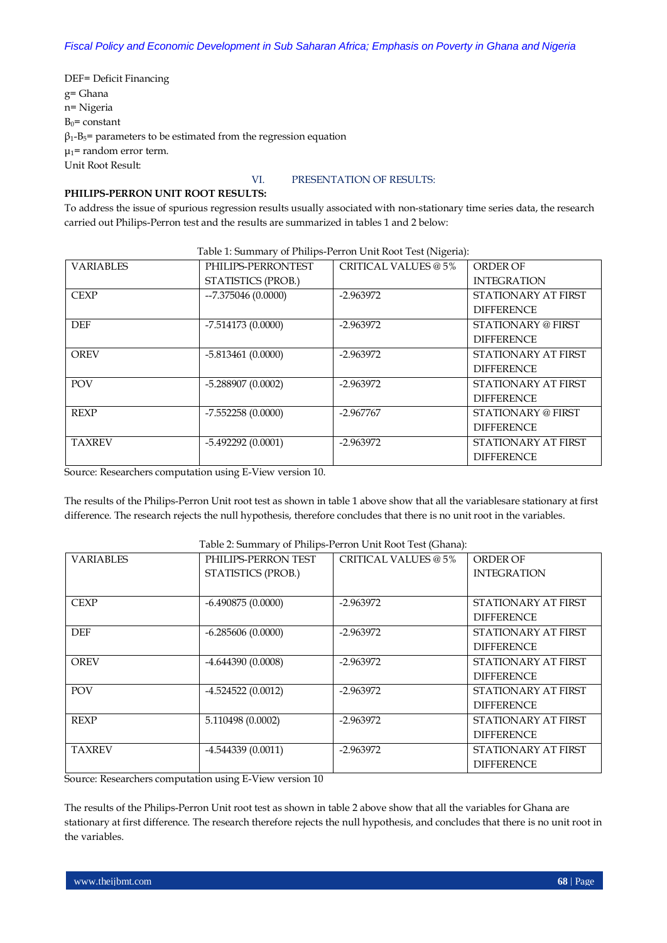DEF= Deficit Financing g= Ghana n= Nigeria  $B_0$ = constant  $\beta_1$ -B<sub>5</sub>= parameters to be estimated from the regression equation  $\mu_1$ = random error term. Unit Root Result:

## VI. PRESENTATION OF RESULTS:

## **PHILIPS-PERRON UNIT ROOT RESULTS:**

To address the issue of spurious regression results usually associated with non-stationary time series data, the research carried out Philips-Perron test and the results are summarized in tables 1 and 2 below:

| Table 1: Summary of Philips-Perron Unit Root Test (Nigeria): |                     |                             |                           |  |  |  |
|--------------------------------------------------------------|---------------------|-----------------------------|---------------------------|--|--|--|
| <b>VARIABLES</b>                                             | PHILIPS-PERRONTEST  | <b>CRITICAL VALUES @ 5%</b> | <b>ORDER OF</b>           |  |  |  |
|                                                              | STATISTICS (PROB.)  |                             | <b>INTEGRATION</b>        |  |  |  |
| <b>CEXP</b>                                                  | $-7.375046(0.0000)$ | $-2.963972$                 | STATIONARY AT FIRST       |  |  |  |
|                                                              |                     |                             | <b>DIFFERENCE</b>         |  |  |  |
| <b>DEF</b>                                                   | $-7.514173(0.0000)$ | $-2.963972$                 | STATIONARY @ FIRST        |  |  |  |
|                                                              |                     |                             | <b>DIFFERENCE</b>         |  |  |  |
| <b>OREV</b>                                                  | $-5.813461(0.0000)$ | $-2.963972$                 | STATIONARY AT FIRST       |  |  |  |
|                                                              |                     |                             | <b>DIFFERENCE</b>         |  |  |  |
| <b>POV</b>                                                   | $-5.288907(0.0002)$ | $-2.963972$                 | STATIONARY AT FIRST       |  |  |  |
|                                                              |                     |                             | <b>DIFFERENCE</b>         |  |  |  |
| <b>REXP</b>                                                  | $-7.552258(0.0000)$ | $-2.967767$                 | <b>STATIONARY @ FIRST</b> |  |  |  |
|                                                              |                     |                             | <b>DIFFERENCE</b>         |  |  |  |
| <b>TAXREV</b>                                                | $-5.492292(0.0001)$ | $-2.963972$                 | STATIONARY AT FIRST       |  |  |  |
|                                                              |                     |                             | <b>DIFFERENCE</b>         |  |  |  |

Source: Researchers computation using E-View version 10.

The results of the Philips-Perron Unit root test as shown in table 1 above show that all the variablesare stationary at first difference. The research rejects the null hypothesis, therefore concludes that there is no unit root in the variables.

| <b>VARIABLES</b> | PHILIPS-PERRON TEST | CRITICAL VALUES @ 5% | ORDER OF            |
|------------------|---------------------|----------------------|---------------------|
|                  | STATISTICS (PROB.)  |                      | <b>INTEGRATION</b>  |
|                  |                     |                      |                     |
| <b>CEXP</b>      | $-6.490875(0.0000)$ | $-2.963972$          | STATIONARY AT FIRST |
|                  |                     |                      | <b>DIFFERENCE</b>   |
| <b>DEF</b>       | $-6.285606(0.0000)$ | $-2.963972$          | STATIONARY AT FIRST |
|                  |                     |                      | <b>DIFFERENCE</b>   |
| <b>OREV</b>      | $-4.644390(0.0008)$ | $-2.963972$          | STATIONARY AT FIRST |
|                  |                     |                      | <b>DIFFERENCE</b>   |
| POV              | $-4.524522(0.0012)$ | $-2.963972$          | STATIONARY AT FIRST |
|                  |                     |                      | <b>DIFFERENCE</b>   |
| <b>REXP</b>      | 5.110498 (0.0002)   | $-2.963972$          | STATIONARY AT FIRST |
|                  |                     |                      | <b>DIFFERENCE</b>   |
| <b>TAXREV</b>    | $-4.544339(0.0011)$ | $-2.963972$          | STATIONARY AT FIRST |
|                  |                     |                      | <b>DIFFERENCE</b>   |

## Table 2: Summary of Philips-Perron Unit Root Test (Ghana):

Source: Researchers computation using E-View version 10

The results of the Philips-Perron Unit root test as shown in table 2 above show that all the variables for Ghana are stationary at first difference. The research therefore rejects the null hypothesis, and concludes that there is no unit root in the variables.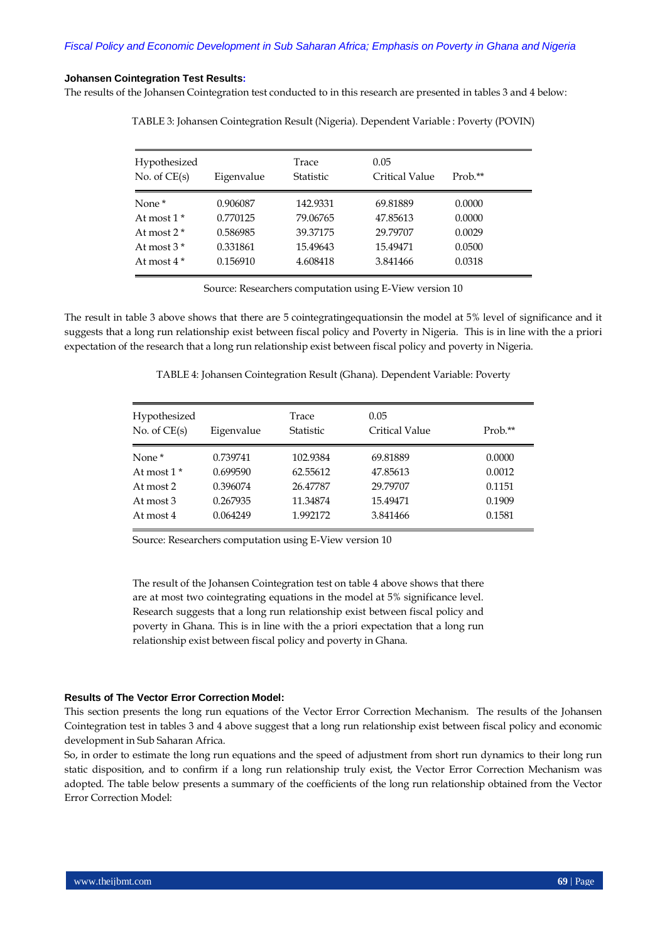#### **Johansen Cointegration Test Results:**

The results of the Johansen Cointegration test conducted to in this research are presented in tables 3 and 4 below:

TABLE 3: Johansen Cointegration Result (Nigeria). Dependent Variable : Poverty (POVIN)

| Hypothesized<br>No. of $CE(s)$ | Eigenvalue | Trace<br><b>Statistic</b> | 0.05<br>Critical Value | $Prob.*$ |
|--------------------------------|------------|---------------------------|------------------------|----------|
|                                |            |                           |                        |          |
| None <sup>*</sup>              | 0.906087   | 142.9331                  | 69.81889               | 0.0000   |
| At most $1^*$                  | 0.770125   | 79.06765                  | 47.85613               | 0.0000   |
| At most $2*$                   | 0.586985   | 39.37175                  | 29.79707               | 0.0029   |
| At most $3*$                   | 0.331861   | 15.49643                  | 15.49471               | 0.0500   |
| At most $4*$                   | 0.156910   | 4.608418                  | 3.841466               | 0.0318   |
|                                |            |                           |                        |          |

Source: Researchers computation using E-View version 10

The result in table 3 above shows that there are 5 cointegratingequationsin the model at 5% level of significance and it suggests that a long run relationship exist between fiscal policy and Poverty in Nigeria. This is in line with the a priori expectation of the research that a long run relationship exist between fiscal policy and poverty in Nigeria.

| TABLE 4: Johansen Cointegration Result (Ghana). Dependent Variable: Poverty |  |  |
|-----------------------------------------------------------------------------|--|--|
|                                                                             |  |  |

| Hypothesized<br>No. of $CE(s)$ | Eigenvalue | Trace<br>Statistic | 0.05<br><b>Critical Value</b> | Prob.** |
|--------------------------------|------------|--------------------|-------------------------------|---------|
| None <sup>*</sup>              | 0.739741   | 102.9384           | 69.81889                      | 0.0000  |
| At most $1*$                   | 0.699590   | 62.55612           | 47.85613                      | 0.0012  |
| At most 2                      | 0.396074   | 26.47787           | 29.79707                      | 0.1151  |
| At most 3                      | 0.267935   | 11.34874           | 15.49471                      | 0.1909  |
| At most 4                      | 0.064249   | 1.992172           | 3.841466                      | 0.1581  |

Source: Researchers computation using E-View version 10

The result of the Johansen Cointegration test on table 4 above shows that there are at most two cointegrating equations in the model at 5% significance level. Research suggests that a long run relationship exist between fiscal policy and poverty in Ghana. This is in line with the a priori expectation that a long run relationship exist between fiscal policy and poverty in Ghana.

#### **Results of The Vector Error Correction Model:**

This section presents the long run equations of the Vector Error Correction Mechanism. The results of the Johansen Cointegration test in tables 3 and 4 above suggest that a long run relationship exist between fiscal policy and economic development in Sub Saharan Africa.

So, in order to estimate the long run equations and the speed of adjustment from short run dynamics to their long run static disposition, and to confirm if a long run relationship truly exist, the Vector Error Correction Mechanism was adopted. The table below presents a summary of the coefficients of the long run relationship obtained from the Vector Error Correction Model: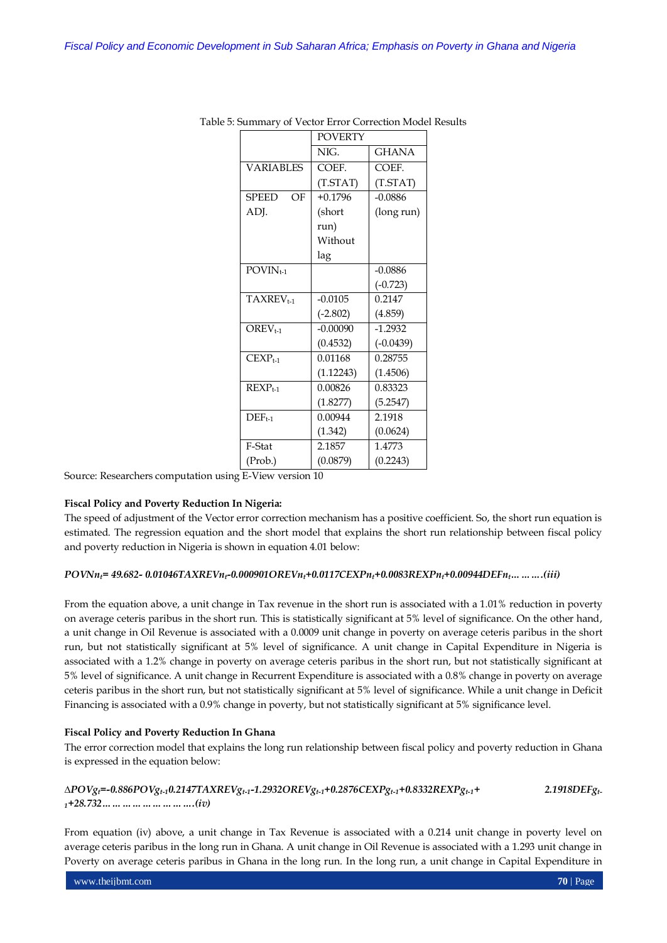|                                          | <b>POVERTY</b> |              |
|------------------------------------------|----------------|--------------|
|                                          | NIG.           | <b>GHANA</b> |
| <b>VARIABLES</b>                         | COEF.          | COEF.        |
|                                          | (TSTAT)        | (TSTAT)      |
| <b>SPEED</b><br>OF                       | $+0.1796$      | $-0.0886$    |
| ADJ.                                     | (short         | (long run)   |
|                                          | run)           |              |
|                                          | Without        |              |
|                                          | lag            |              |
| $\overline{\mathrm{POVIN}}_{t\text{-}1}$ |                | $-0.0886$    |
|                                          |                | $(-0.723)$   |
| TAXREV <sub>t-1</sub>                    | $-0.0105$      | 0.2147       |
|                                          | $(-2.802)$     | (4.859)      |
| $OREVt-1$                                | $-0.00090$     | $-1.2932$    |
|                                          | (0.4532)       | $(-0.0439)$  |
| $CEXPt-1$                                | 0.01168        | 0.28755      |
|                                          | (1.12243)      | (1.4506)     |
| $REXP_{t-1}$                             | 0.00826        | 0.83323      |
|                                          | (1.8277)       | (5.2547)     |
| $DEF_{t-1}$                              | 0.00944        | 2.1918       |
|                                          | (1.342)        | (0.0624)     |
| F-Stat                                   | 2.1857         | 1.4773       |
| (Prob.)                                  | (0.0879)       | (0.2243)     |

Table 5: Summary of Vector Error Correction Model Results

Source: Researchers computation using E-View version 10

## **Fiscal Policy and Poverty Reduction In Nigeria:**

The speed of adjustment of the Vector error correction mechanism has a positive coefficient. So, the short run equation is estimated. The regression equation and the short model that explains the short run relationship between fiscal policy and poverty reduction in Nigeria is shown in equation 4.01 below:

## *POVNnt= 49.682- 0.01046TAXREVnt-0.000901OREVnt+0.0117CEXPnt+0.0083REXPnt+0.00944DEFnt……….(iii)*

From the equation above, a unit change in Tax revenue in the short run is associated with a 1.01% reduction in poverty on average ceteris paribus in the short run. This is statistically significant at 5% level of significance. On the other hand, a unit change in Oil Revenue is associated with a 0.0009 unit change in poverty on average ceteris paribus in the short run, but not statistically significant at 5% level of significance. A unit change in Capital Expenditure in Nigeria is associated with a 1.2% change in poverty on average ceteris paribus in the short run, but not statistically significant at 5% level of significance. A unit change in Recurrent Expenditure is associated with a 0.8% change in poverty on average ceteris paribus in the short run, but not statistically significant at 5% level of significance. While a unit change in Deficit Financing is associated with a 0.9% change in poverty, but not statistically significant at 5% significance level.

## **Fiscal Policy and Poverty Reduction In Ghana**

The error correction model that explains the long run relationship between fiscal policy and poverty reduction in Ghana is expressed in the equation below:

## **∆***POVgt=-0.886POVgt-10.2147TAXREVgt-1-1.2932OREVgt-1+0.2876CEXPgt-1+0.8332REXPgt-1+ 2.1918DEFgt-<sup>1</sup>+28.732……………………….(iv)*

From equation (iv) above, a unit change in Tax Revenue is associated with a 0.214 unit change in poverty level on average ceteris paribus in the long run in Ghana. A unit change in Oil Revenue is associated with a 1.293 unit change in Poverty on average ceteris paribus in Ghana in the long run. In the long run, a unit change in Capital Expenditure in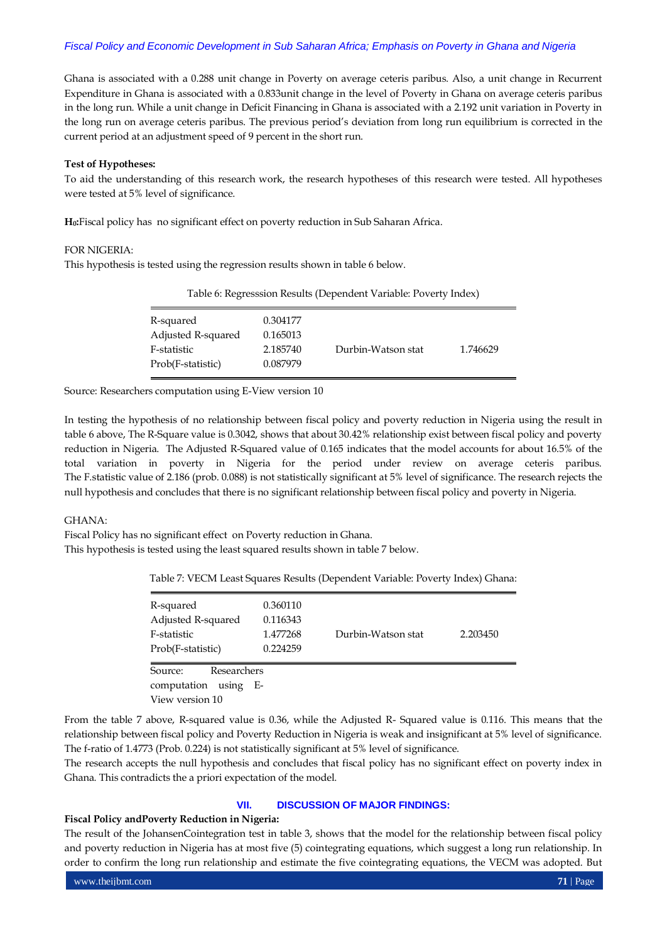Ghana is associated with a 0.288 unit change in Poverty on average ceteris paribus. Also, a unit change in Recurrent Expenditure in Ghana is associated with a 0.833unit change in the level of Poverty in Ghana on average ceteris paribus in the long run. While a unit change in Deficit Financing in Ghana is associated with a 2.192 unit variation in Poverty in the long run on average ceteris paribus. The previous period's deviation from long run equilibrium is corrected in the current period at an adjustment speed of 9 percent in the short run.

### **Test of Hypotheses:**

To aid the understanding of this research work, the research hypotheses of this research were tested. All hypotheses were tested at 5% level of significance.

**H0:**Fiscal policy has no significant effect on poverty reduction in Sub Saharan Africa.

## FOR NIGERIA:

This hypothesis is tested using the regression results shown in table 6 below.

| Table 6: Regresssion Results (Dependent Variable: Poverty Index) |          |                    |          |  |  |
|------------------------------------------------------------------|----------|--------------------|----------|--|--|
| R-squared                                                        | 0.304177 |                    |          |  |  |
| Adjusted R-squared                                               | 0.165013 |                    |          |  |  |
| F-statistic                                                      | 2.185740 | Durbin-Watson stat | 1.746629 |  |  |
| Prob(F-statistic)                                                | 0.087979 |                    |          |  |  |

Source: Researchers computation using E-View version 10

In testing the hypothesis of no relationship between fiscal policy and poverty reduction in Nigeria using the result in table 6 above, The R-Square value is 0.3042, shows that about 30.42% relationship exist between fiscal policy and poverty reduction in Nigeria. The Adjusted R-Squared value of 0.165 indicates that the model accounts for about 16.5% of the total variation in poverty in Nigeria for the period under review on average ceteris paribus. The F.statistic value of 2.186 (prob. 0.088) is not statistically significant at 5% level of significance. The research rejects the null hypothesis and concludes that there is no significant relationship between fiscal policy and poverty in Nigeria.

#### GHANA:

Fiscal Policy has no significant effect on Poverty reduction in Ghana. This hypothesis is tested using the least squared results shown in table 7 below.

Table 7: VECM Least Squares Results (Dependent Variable: Poverty Index) Ghana:

| R-squared<br>Adjusted R-squared<br>F-statistic<br>Prob(F-statistic) | 0.360110<br>0.116343<br>1.477268<br>0.224259 | Durbin-Watson stat | 2.203450 |
|---------------------------------------------------------------------|----------------------------------------------|--------------------|----------|
| Researchers<br>Source:<br>computation<br>using<br>- E-              |                                              |                    |          |
| View version 10                                                     |                                              |                    |          |

From the table 7 above, R-squared value is 0.36, while the Adjusted R- Squared value is 0.116. This means that the relationship between fiscal policy and Poverty Reduction in Nigeria is weak and insignificant at 5% level of significance. The f-ratio of 1.4773 (Prob. 0.224) is not statistically significant at 5% level of significance.

The research accepts the null hypothesis and concludes that fiscal policy has no significant effect on poverty index in Ghana. This contradicts the a priori expectation of the model.

## **VII. DISCUSSION OF MAJOR FINDINGS:**

## **Fiscal Policy andPoverty Reduction in Nigeria:**

The result of the JohansenCointegration test in table 3, shows that the model for the relationship between fiscal policy and poverty reduction in Nigeria has at most five (5) cointegrating equations, which suggest a long run relationship. In order to confirm the long run relationship and estimate the five cointegrating equations, the VECM was adopted. But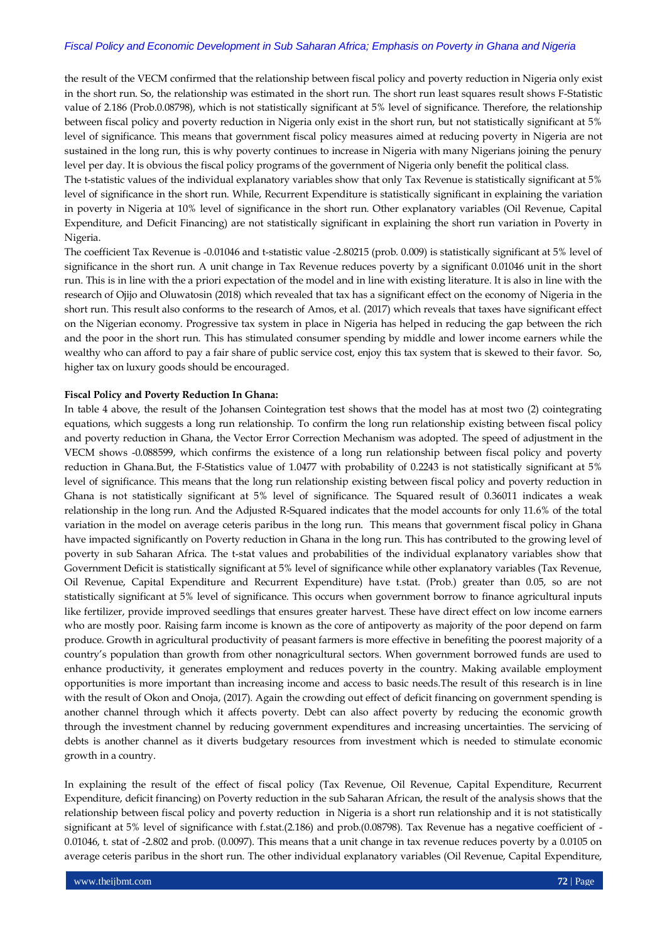the result of the VECM confirmed that the relationship between fiscal policy and poverty reduction in Nigeria only exist in the short run. So, the relationship was estimated in the short run. The short run least squares result shows F-Statistic value of 2.186 (Prob.0.08798), which is not statistically significant at 5% level of significance. Therefore, the relationship between fiscal policy and poverty reduction in Nigeria only exist in the short run, but not statistically significant at 5% level of significance. This means that government fiscal policy measures aimed at reducing poverty in Nigeria are not sustained in the long run, this is why poverty continues to increase in Nigeria with many Nigerians joining the penury level per day. It is obvious the fiscal policy programs of the government of Nigeria only benefit the political class.

The t-statistic values of the individual explanatory variables show that only Tax Revenue is statistically significant at 5% level of significance in the short run. While, Recurrent Expenditure is statistically significant in explaining the variation in poverty in Nigeria at 10% level of significance in the short run. Other explanatory variables (Oil Revenue, Capital Expenditure, and Deficit Financing) are not statistically significant in explaining the short run variation in Poverty in Nigeria.

The coefficient Tax Revenue is -0.01046 and t-statistic value -2.80215 (prob. 0.009) is statistically significant at 5% level of significance in the short run. A unit change in Tax Revenue reduces poverty by a significant 0.01046 unit in the short run. This is in line with the a priori expectation of the model and in line with existing literature. It is also in line with the research of Ojijo and Oluwatosin (2018) which revealed that tax has a significant effect on the economy of Nigeria in the short run. This result also conforms to the research of Amos, et al. (2017) which reveals that taxes have significant effect on the Nigerian economy. Progressive tax system in place in Nigeria has helped in reducing the gap between the rich and the poor in the short run. This has stimulated consumer spending by middle and lower income earners while the wealthy who can afford to pay a fair share of public service cost, enjoy this tax system that is skewed to their favor. So, higher tax on luxury goods should be encouraged.

#### **Fiscal Policy and Poverty Reduction In Ghana:**

In table 4 above, the result of the Johansen Cointegration test shows that the model has at most two (2) cointegrating equations, which suggests a long run relationship. To confirm the long run relationship existing between fiscal policy and poverty reduction in Ghana, the Vector Error Correction Mechanism was adopted. The speed of adjustment in the VECM shows -0.088599, which confirms the existence of a long run relationship between fiscal policy and poverty reduction in Ghana.But, the F-Statistics value of 1.0477 with probability of 0.2243 is not statistically significant at 5% level of significance. This means that the long run relationship existing between fiscal policy and poverty reduction in Ghana is not statistically significant at 5% level of significance. The Squared result of 0.36011 indicates a weak relationship in the long run. And the Adjusted R-Squared indicates that the model accounts for only 11.6% of the total variation in the model on average ceteris paribus in the long run. This means that government fiscal policy in Ghana have impacted significantly on Poverty reduction in Ghana in the long run. This has contributed to the growing level of poverty in sub Saharan Africa. The t-stat values and probabilities of the individual explanatory variables show that Government Deficit is statistically significant at 5% level of significance while other explanatory variables (Tax Revenue, Oil Revenue, Capital Expenditure and Recurrent Expenditure) have t.stat. (Prob.) greater than 0.05, so are not statistically significant at 5% level of significance. This occurs when government borrow to finance agricultural inputs like fertilizer, provide improved seedlings that ensures greater harvest. These have direct effect on low income earners who are mostly poor. Raising farm income is known as the core of antipoverty as majority of the poor depend on farm produce. Growth in agricultural productivity of peasant farmers is more effective in benefiting the poorest majority of a country's population than growth from other nonagricultural sectors. When government borrowed funds are used to enhance productivity, it generates employment and reduces poverty in the country. Making available employment opportunities is more important than increasing income and access to basic needs.The result of this research is in line with the result of Okon and Onoja, (2017). Again the crowding out effect of deficit financing on government spending is another channel through which it affects poverty. Debt can also affect poverty by reducing the economic growth through the investment channel by reducing government expenditures and increasing uncertainties. The servicing of debts is another channel as it diverts budgetary resources from investment which is needed to stimulate economic growth in a country.

In explaining the result of the effect of fiscal policy (Tax Revenue, Oil Revenue, Capital Expenditure, Recurrent Expenditure, deficit financing) on Poverty reduction in the sub Saharan African, the result of the analysis shows that the relationship between fiscal policy and poverty reduction in Nigeria is a short run relationship and it is not statistically significant at 5% level of significance with f.stat.(2.186) and prob.(0.08798). Tax Revenue has a negative coefficient of - 0.01046, t. stat of -2.802 and prob. (0.0097). This means that a unit change in tax revenue reduces poverty by a 0.0105 on average ceteris paribus in the short run. The other individual explanatory variables (Oil Revenue, Capital Expenditure,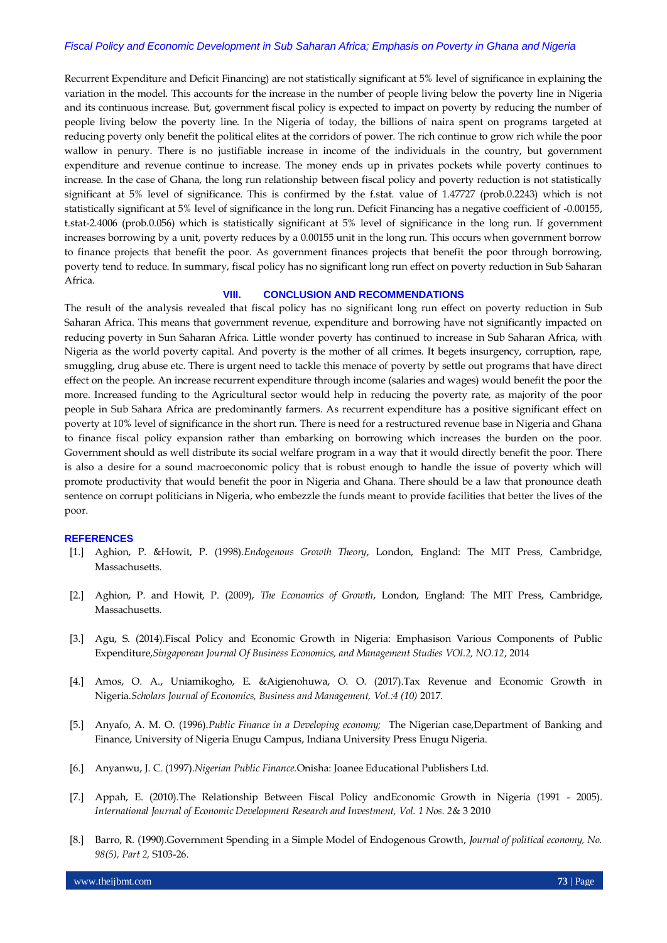Recurrent Expenditure and Deficit Financing) are not statistically significant at 5% level of significance in explaining the variation in the model. This accounts for the increase in the number of people living below the poverty line in Nigeria and its continuous increase. But, government fiscal policy is expected to impact on poverty by reducing the number of people living below the poverty line. In the Nigeria of today, the billions of naira spent on programs targeted at reducing poverty only benefit the political elites at the corridors of power. The rich continue to grow rich while the poor wallow in penury. There is no justifiable increase in income of the individuals in the country, but government expenditure and revenue continue to increase. The money ends up in privates pockets while poverty continues to increase. In the case of Ghana, the long run relationship between fiscal policy and poverty reduction is not statistically significant at 5% level of significance. This is confirmed by the f.stat. value of 1.47727 (prob.0.2243) which is not statistically significant at 5% level of significance in the long run. Deficit Financing has a negative coefficient of -0.00155, t.stat-2.4006 (prob.0.056) which is statistically significant at 5% level of significance in the long run. If government increases borrowing by a unit, poverty reduces by a 0.00155 unit in the long run. This occurs when government borrow to finance projects that benefit the poor. As government finances projects that benefit the poor through borrowing, poverty tend to reduce. In summary, fiscal policy has no significant long run effect on poverty reduction in Sub Saharan Africa.

#### **VIII. CONCLUSION AND RECOMMENDATIONS**

The result of the analysis revealed that fiscal policy has no significant long run effect on poverty reduction in Sub Saharan Africa. This means that government revenue, expenditure and borrowing have not significantly impacted on reducing poverty in Sun Saharan Africa. Little wonder poverty has continued to increase in Sub Saharan Africa, with Nigeria as the world poverty capital. And poverty is the mother of all crimes. It begets insurgency, corruption, rape, smuggling, drug abuse etc. There is urgent need to tackle this menace of poverty by settle out programs that have direct effect on the people. An increase recurrent expenditure through income (salaries and wages) would benefit the poor the more. Increased funding to the Agricultural sector would help in reducing the poverty rate, as majority of the poor people in Sub Sahara Africa are predominantly farmers. As recurrent expenditure has a positive significant effect on poverty at 10% level of significance in the short run. There is need for a restructured revenue base in Nigeria and Ghana to finance fiscal policy expansion rather than embarking on borrowing which increases the burden on the poor. Government should as well distribute its social welfare program in a way that it would directly benefit the poor. There is also a desire for a sound macroeconomic policy that is robust enough to handle the issue of poverty which will promote productivity that would benefit the poor in Nigeria and Ghana. There should be a law that pronounce death sentence on corrupt politicians in Nigeria, who embezzle the funds meant to provide facilities that better the lives of the poor.

#### **REFERENCES**

- [1.] Aghion, P. &Howit, P. (1998).*Endogenous Growth Theory*, London, England: The MIT Press, Cambridge, Massachusetts.
- [2.] Aghion, P. and Howit, P. (2009), *The Economics of Growth*, London, England: The MIT Press, Cambridge, Massachusetts.
- [3.] Agu, S. (2014).Fiscal Policy and Economic Growth in Nigeria: Emphasison Various Components of Public Expenditure,*Singaporean Journal Of Business Economics, and Management Studies VOl.2, NO.12*, 2014
- [4.] Amos, O. A., Uniamikogho, E. &Aigienohuwa, O. O. (2017).Tax Revenue and Economic Growth in Nigeria.*Scholars Journal of Economics, Business and Management, Vol.:4 (10)* 2017.
- [5.] Anyafo, A. M. O. (1996).*Public Finance in a Developing economy;* The Nigerian case,Department of Banking and Finance, University of Nigeria Enugu Campus, Indiana University Press Enugu Nigeria.
- [6.] Anyanwu, J. C. (1997).*Nigerian Public Finance.*Onisha: Joanee Educational Publishers Ltd.
- [7.] Appah, E. (2010).The Relationship Between Fiscal Policy andEconomic Growth in Nigeria (1991 2005). *International Journal of Economic Development Research and Investment, Vol. 1 Nos. 2*& 3 2010
- [8.] Barro, R. (1990).Government Spending in a Simple Model of Endogenous Growth, *Journal of political economy, No. 98(5), Part 2,* S103-26.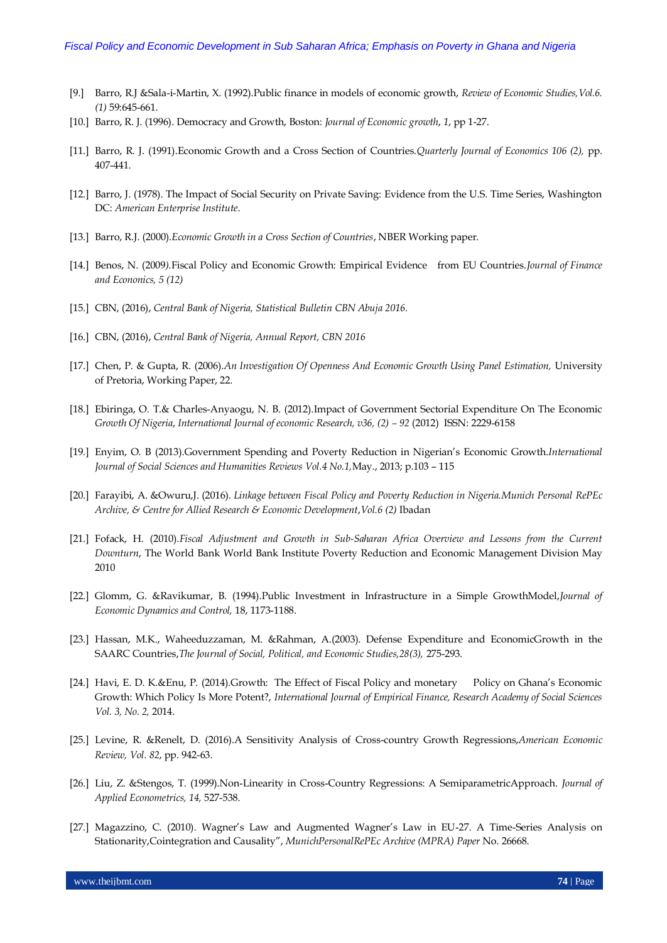- [9.] Barro, R.J &Sala-i-Martin, X. (1992).Public finance in models of economic growth, *Review of Economic Studies,Vol.6. (1)* 59:645-661.
- [10.] Barro, R. J. (1996). Democracy and Growth, Boston: *Journal of Economic growth*, *1*, pp 1-27.
- [11.] Barro, R. J. (1991).Economic Growth and a Cross Section of Countries.*Quarterly Journal of Economics 106 (2),* pp. 407-441.
- [12.] Barro, J. (1978). The Impact of Social Security on Private Saving: Evidence from the U.S. Time Series, Washington DC: *American Enterprise Institute*.
- [13.] Barro, R.J. (2000).*Economic Growth in a Cross Section of Countries*, NBER Working paper.
- [14.] Benos, N. (2009*).*Fiscal Policy and Economic Growth: Empirical Evidence from EU Countries.*Journal of Finance and Econonics, 5 (12)*
- [15.] CBN, (2016), *Central Bank of Nigeria, Statistical Bulletin CBN Abuja 2016.*
- [16.] CBN, (2016), *Central Bank of Nigeria, Annual Report, CBN 2016*
- [17.] Chen, P. & Gupta, R. (2006).*An Investigation Of Openness And Economic Growth Using Panel Estimation,* University of Pretoria, Working Paper, 22.
- [18.] Ebiringa, O. T.& Charles-Anyaogu, N. B. (2012).Impact of Government Sectorial Expenditure On The Economic Growth Of Nigeria, International Journal of economic Research, v36, (2) - 92 (2012) ISSN: 2229-6158
- [19.] Enyim, O. B (2013).Government Spending and Poverty Reduction in Nigerian's Economic Growth.*International Journal of Social Sciences and Humanities Reviews Vol.4 No.1,*May., 2013; p.103 – 115
- [20.] Farayibi, A. &Owuru,J. (2016). *Linkage between Fiscal Policy and Poverty Reduction in Nigeria.Munich Personal RePEc Archive, & Centre for Allied Research & Economic Development*,*Vol.6 (2)* Ibadan
- [21.] Fofack, H. (2010).*Fiscal Adjustment and Growth in Sub-Saharan Africa Overview and Lessons from the Current Downturn*, The World Bank World Bank Institute Poverty Reduction and Economic Management Division May 2010
- [22.] Glomm, G. &Ravikumar, B. (1994).Public Investment in Infrastructure in a Simple GrowthModel,*Journal of Economic Dynamics and Control,* 18, 1173-1188.
- [23.] Hassan, M.K., Waheeduzzaman, M. &Rahman, A.(2003). Defense Expenditure and EconomicGrowth in the SAARC Countries,*The Journal of Social, Political, and Economic Studies,28(3),* 275-293.
- [24.] Havi, E. D. K.&Enu, P. (2014).Growth: The Effect of Fiscal Policy and monetary Policy on Ghana's Economic Growth: Which Policy Is More Potent?, *International Journal of Empirical Finance, Research Academy of Social Sciences Vol. 3, No. 2,* 2014.
- [25.] Levine, R. &Renelt, D. (2016).A Sensitivity Analysis of Cross-country Growth Regressions,*American Economic Review, Vol. 82*, pp. 942-63.
- [26.] Liu, Z. &Stengos, T. (1999).Non-Linearity in Cross-Country Regressions: A SemiparametricApproach. *Journal of Applied Econometrics, 14,* 527-538.
- [27.] Magazzino, C. (2010). Wagner's Law and Augmented Wagner's Law in EU-27. A Time-Series Analysis on Stationarity,Cointegration and Causality", *MunichPersonalRePEc Archive (MPRA) Paper* No. 26668.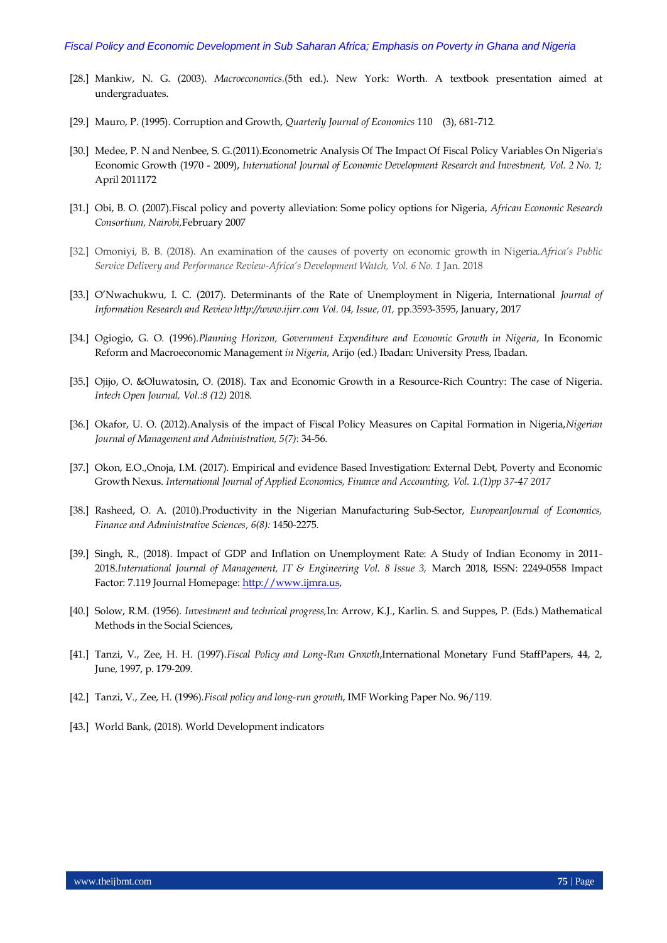- [28.] Mankiw, N. G. (2003). *Macroeconomics.*(5th ed.). New York: Worth. A textbook presentation aimed at undergraduates.
- [29.] Mauro, P. (1995). Corruption and Growth, *Quarterly Journal of Economics* 110 (3), 681-712.
- [30.] Medee, P. N and Nenbee, S. G.(2011).Econometric Analysis Of The Impact Of Fiscal Policy Variables On Nigeria's Economic Growth (1970 - 2009), *International Journal of Economic Development Research and Investment, Vol. 2 No. 1;* April 2011172
- [31.] Obi, B. O. (2007).Fiscal policy and poverty alleviation: Some policy options for Nigeria, *African Economic Research Consortium, Nairobi,*February 2007
- [32.] Omoniyi, B. B. (2018). An examination of the causes of poverty on economic growth in Nigeria.*Africa's Public Service Delivery and Performance Review-Africa's Development Watch, Vol. 6 No. 1* Jan. 2018
- [33.] O'Nwachukwu, I. C. (2017). Determinants of the Rate of Unemployment in Nigeria, International *Journal of Information Research and Review http://www.ijirr.com Vol. 04, Issue, 01,* pp.3593-3595, January, 2017
- [34.] Ogiogio, G. O. (1996).*Planning Horizon, Government Expenditure and Economic Growth in Nigeria*, In Economic Reform and Macroeconomic Management *in Nigeria*, Arijo (ed.) Ibadan: University Press, Ibadan.
- [35.] Ojijo, O. &Oluwatosin, O. (2018). Tax and Economic Growth in a Resource-Rich Country: The case of Nigeria. *Intech Open Journal, Vol.:8 (12)* 2018.
- [36.] Okafor, U. O. (2012).Analysis of the impact of Fiscal Policy Measures on Capital Formation in Nigeria,*Nigerian Journal of Management and Administration, 5(7)*: 34-56.
- [37.] Okon, E.O.,Onoja, I.M. (2017). Empirical and evidence Based Investigation: External Debt, Poverty and Economic Growth Nexus. *International Journal of Applied Economics, Finance and Accounting, Vol. 1.(1)pp 37-47 2017*
- [38.] Rasheed, O. A. (2010).Productivity in the Nigerian Manufacturing Sub-Sector, *EuropeanJournal of Economics, Finance and Administrative Sciences, 6(8):* 1450-2275.
- [39.] Singh, R., (2018). Impact of GDP and Inflation on Unemployment Rate: A Study of Indian Economy in 2011- 2018.*International Journal of Management, IT & Engineering Vol. 8 Issue 3,* March 2018, ISSN: 2249-0558 Impact Factor: 7.119 Journal Homepage[: http://www.ijmra.us,](http://www.ijmra.us/)
- [40.] Solow, R.M. (1956). *Investment and technical progress,*In: Arrow, K.J., Karlin. S. and Suppes, P. (Eds.) Mathematical Methods in the Social Sciences,
- [41.] Tanzi, V., Zee, H. H. (1997).*Fiscal Policy and Long-Run Growth*,International Monetary Fund StaffPapers, 44, 2, June, 1997, p. 179-209.
- [42.] Tanzi, V., Zee, H. (1996).*Fiscal policy and long-run growth*, IMF Working Paper No. 96/119.
- [43.] World Bank, (2018). World Development indicators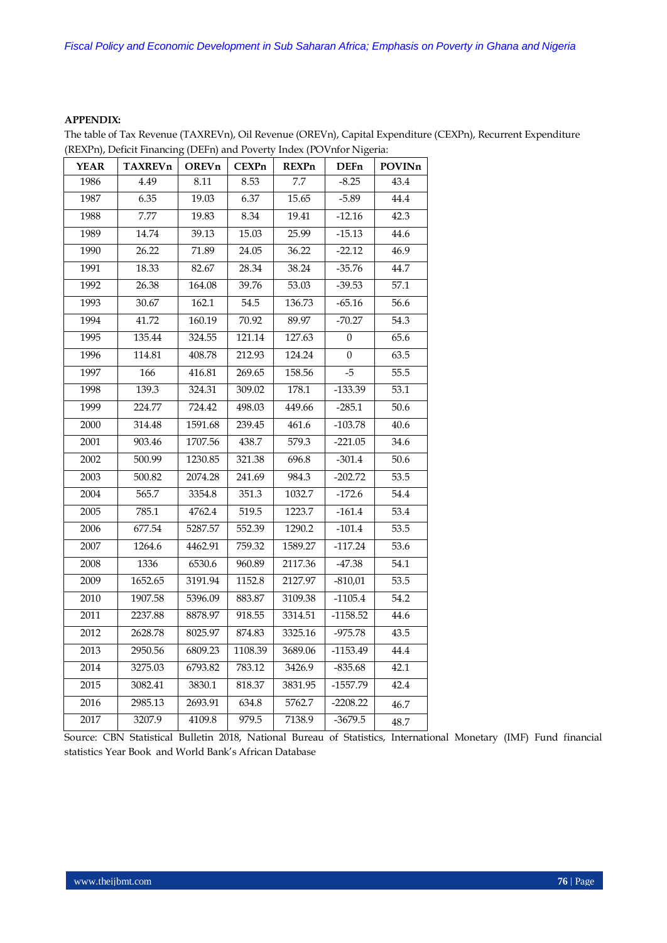## **APPENDIX:**

The table of Tax Revenue (TAXREVn), Oil Revenue (OREVn), Capital Expenditure (CEXPn), Recurrent Expenditure (REXPn), Deficit Financing (DEFn) and Poverty Index (POVnfor Nigeria:

| <b>YEAR</b> | <b>TAXREVn</b> | OREVn   | <b>CEXPn</b> | <b>REXPn</b> | <b>DEFn</b>    | POVINn |
|-------------|----------------|---------|--------------|--------------|----------------|--------|
| 1986        | 4.49           | 8.11    | 8.53         | 7.7          | $-8.25$        | 43.4   |
| 1987        | 6.35           | 19.03   | 6.37         | 15.65        | $-5.89$        | 44.4   |
| 1988        | 7.77           | 19.83   | 8.34         | 19.41        | $-12.16$       | 42.3   |
| 1989        | 14.74          | 39.13   | 15.03        | 25.99        | $-15.13$       | 44.6   |
| 1990        | 26.22          | 71.89   | 24.05        | 36.22        | $-22.12$       | 46.9   |
| 1991        | 18.33          | 82.67   | 28.34        | 38.24        | $-35.76$       | 44.7   |
| 1992        | 26.38          | 164.08  | 39.76        | 53.03        | $-39.53$       | 57.1   |
| 1993        | 30.67          | 162.1   | 54.5         | 136.73       | $-65.16$       | 56.6   |
| 1994        | 41.72          | 160.19  | 70.92        | 89.97        | $-70.27$       | 54.3   |
| 1995        | 135.44         | 324.55  | 121.14       | 127.63       | $\overline{0}$ | 65.6   |
| 1996        | 114.81         | 408.78  | 212.93       | 124.24       | $\theta$       | 63.5   |
| 1997        | 166            | 416.81  | 269.65       | 158.56       | $-5$           | 55.5   |
| 1998        | 139.3          | 324.31  | 309.02       | 178.1        | $-133.39$      | 53.1   |
| 1999        | 224.77         | 724.42  | 498.03       | 449.66       | $-285.1$       | 50.6   |
| 2000        | 314.48         | 1591.68 | 239.45       | 461.6        | $-103.78$      | 40.6   |
| 2001        | 903.46         | 1707.56 | 438.7        | 579.3        | $-221.05$      | 34.6   |
| 2002        | 500.99         | 1230.85 | 321.38       | 696.8        | $-301.4$       | 50.6   |
| 2003        | 500.82         | 2074.28 | 241.69       | 984.3        | $-202.72$      | 53.5   |
| 2004        | 565.7          | 3354.8  | 351.3        | 1032.7       | $-172.6$       | 54.4   |
| 2005        | 785.1          | 4762.4  | 519.5        | 1223.7       | $-161.4$       | 53.4   |
| 2006        | 677.54         | 5287.57 | 552.39       | 1290.2       | $-101.4$       | 53.5   |
| 2007        | 1264.6         | 4462.91 | 759.32       | 1589.27      | $-117.24$      | 53.6   |
| 2008        | 1336           | 6530.6  | 960.89       | 2117.36      | $-47.38$       | 54.1   |
| 2009        | 1652.65        | 3191.94 | 1152.8       | 2127.97      | $-810,01$      | 53.5   |
| 2010        | 1907.58        | 5396.09 | 883.87       | 3109.38      | $-1105.4$      | 54.2   |
| 2011        | 2237.88        | 8878.97 | 918.55       | 3314.51      | $-1158.52$     | 44.6   |
| 2012        | 2628.78        | 8025.97 | 874.83       | 3325.16      | $-975.78$      | 43.5   |
| 2013        | 2950.56        | 6809.23 | 1108.39      | 3689.06      | $-1153.49$     | 44.4   |
| 2014        | 3275.03        | 6793.82 | 783.12       | 3426.9       | $-835.68$      | 42.1   |
| 2015        | 3082.41        | 3830.1  | 818.37       | 3831.95      | $-1557.79$     | 42.4   |
| 2016        | 2985.13        | 2693.91 | 634.8        | 5762.7       | $-2208.22$     | 46.7   |
| 2017        | 3207.9         | 4109.8  | 979.5        | 7138.9       | $-3679.5$      | 48.7   |

Source: CBN Statistical Bulletin 2018, National Bureau of Statistics, International Monetary (IMF) Fund financial statistics Year Book and World Bank's African Database